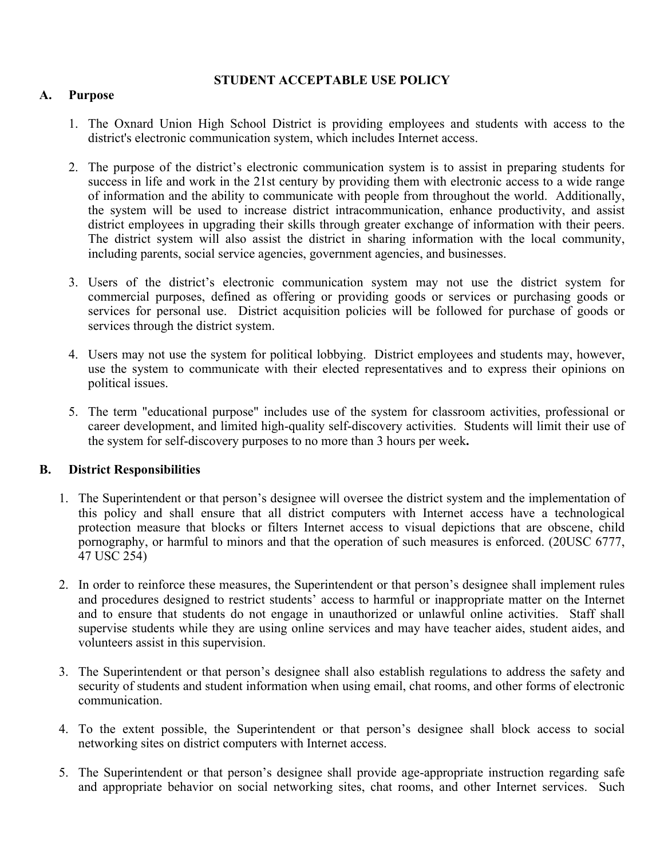### **STUDENT ACCEPTABLE USE POLICY**

### **A. Purpose**

- 1. The Oxnard Union High School District is providing employees and students with access to the district's electronic communication system, which includes Internet access.
- 2. The purpose of the district's electronic communication system is to assist in preparing students for success in life and work in the 21st century by providing them with electronic access to a wide range of information and the ability to communicate with people from throughout the world. Additionally, the system will be used to increase district intracommunication, enhance productivity, and assist district employees in upgrading their skills through greater exchange of information with their peers. The district system will also assist the district in sharing information with the local community, including parents, social service agencies, government agencies, and businesses.
- 3. Users of the district's electronic communication system may not use the district system for commercial purposes, defined as offering or providing goods or services or purchasing goods or services for personal use. District acquisition policies will be followed for purchase of goods or services through the district system.
- 4. Users may not use the system for political lobbying. District employees and students may, however, use the system to communicate with their elected representatives and to express their opinions on political issues.
- 5. The term "educational purpose" includes use of the system for classroom activities, professional or career development, and limited high-quality self-discovery activities. Students will limit their use of the system for self-discovery purposes to no more than 3 hours per week**.**

## **B. District Responsibilities**

- 1. The Superintendent or that person's designee will oversee the district system and the implementation of this policy and shall ensure that all district computers with Internet access have a technological protection measure that blocks or filters Internet access to visual depictions that are obscene, child pornography, or harmful to minors and that the operation of such measures is enforced. (20USC 6777, 47 USC 254)
- 2. In order to reinforce these measures, the Superintendent or that person's designee shall implement rules and procedures designed to restrict students' access to harmful or inappropriate matter on the Internet and to ensure that students do not engage in unauthorized or unlawful online activities. Staff shall supervise students while they are using online services and may have teacher aides, student aides, and volunteers assist in this supervision.
- 3. The Superintendent or that person's designee shall also establish regulations to address the safety and security of students and student information when using email, chat rooms, and other forms of electronic communication.
- 4. To the extent possible, the Superintendent or that person's designee shall block access to social networking sites on district computers with Internet access.
- 5. The Superintendent or that person's designee shall provide age-appropriate instruction regarding safe and appropriate behavior on social networking sites, chat rooms, and other Internet services. Such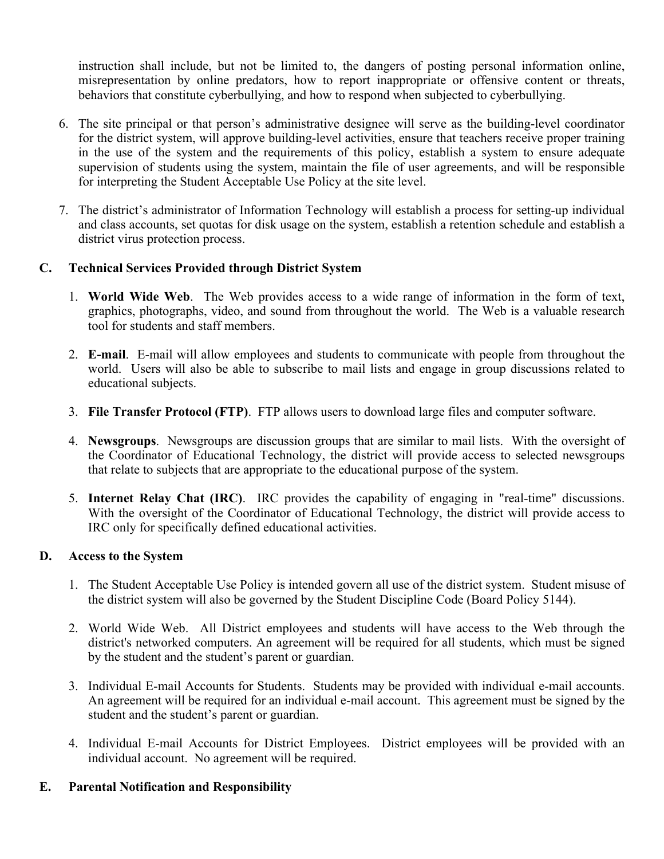instruction shall include, but not be limited to, the dangers of posting personal information online, misrepresentation by online predators, how to report inappropriate or offensive content or threats, behaviors that constitute cyberbullying, and how to respond when subjected to cyberbullying.

- 6. The site principal or that person's administrative designee will serve as the building-level coordinator for the district system, will approve building-level activities, ensure that teachers receive proper training in the use of the system and the requirements of this policy, establish a system to ensure adequate supervision of students using the system, maintain the file of user agreements, and will be responsible for interpreting the Student Acceptable Use Policy at the site level.
- 7. The district's administrator of Information Technology will establish a process for setting-up individual and class accounts, set quotas for disk usage on the system, establish a retention schedule and establish a district virus protection process.

# **C. Technical Services Provided through District System**

- 1. **World Wide Web**. The Web provides access to a wide range of information in the form of text, graphics, photographs, video, and sound from throughout the world. The Web is a valuable research tool for students and staff members.
- 2. **E-mail**. E-mail will allow employees and students to communicate with people from throughout the world. Users will also be able to subscribe to mail lists and engage in group discussions related to educational subjects.
- 3. **File Transfer Protocol (FTP)**. FTP allows users to download large files and computer software.
- 4. **Newsgroups**. Newsgroups are discussion groups that are similar to mail lists. With the oversight of the Coordinator of Educational Technology, the district will provide access to selected newsgroups that relate to subjects that are appropriate to the educational purpose of the system.
- 5. **Internet Relay Chat (IRC)**. IRC provides the capability of engaging in "real-time" discussions. With the oversight of the Coordinator of Educational Technology, the district will provide access to IRC only for specifically defined educational activities.

## **D. Access to the System**

- 1. The Student Acceptable Use Policy is intended govern all use of the district system. Student misuse of the district system will also be governed by the Student Discipline Code (Board Policy 5144).
- 2. World Wide Web. All District employees and students will have access to the Web through the district's networked computers. An agreement will be required for all students, which must be signed by the student and the student's parent or guardian.
- 3. Individual E-mail Accounts for Students. Students may be provided with individual e-mail accounts. An agreement will be required for an individual e-mail account. This agreement must be signed by the student and the student's parent or guardian.
- 4. Individual E-mail Accounts for District Employees. District employees will be provided with an individual account. No agreement will be required.

## **E. Parental Notification and Responsibility**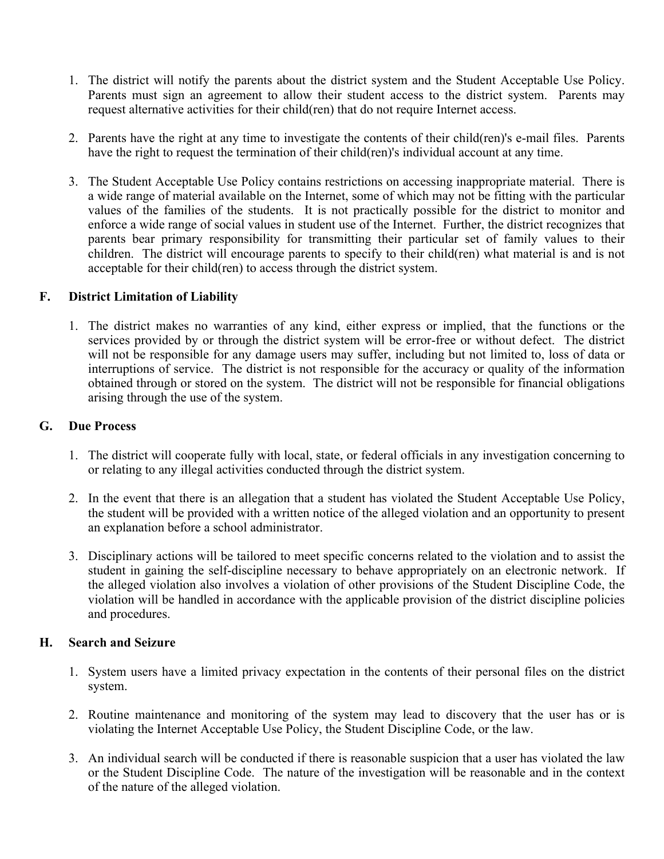- 1. The district will notify the parents about the district system and the Student Acceptable Use Policy. Parents must sign an agreement to allow their student access to the district system. Parents may request alternative activities for their child(ren) that do not require Internet access.
- 2. Parents have the right at any time to investigate the contents of their child(ren)'s e-mail files. Parents have the right to request the termination of their child(ren)'s individual account at any time.
- 3. The Student Acceptable Use Policy contains restrictions on accessing inappropriate material. There is a wide range of material available on the Internet, some of which may not be fitting with the particular values of the families of the students. It is not practically possible for the district to monitor and enforce a wide range of social values in student use of the Internet. Further, the district recognizes that parents bear primary responsibility for transmitting their particular set of family values to their children. The district will encourage parents to specify to their child(ren) what material is and is not acceptable for their child(ren) to access through the district system.

#### **F. District Limitation of Liability**

1. The district makes no warranties of any kind, either express or implied, that the functions or the services provided by or through the district system will be error-free or without defect. The district will not be responsible for any damage users may suffer, including but not limited to, loss of data or interruptions of service. The district is not responsible for the accuracy or quality of the information obtained through or stored on the system. The district will not be responsible for financial obligations arising through the use of the system.

### **G. Due Process**

- 1. The district will cooperate fully with local, state, or federal officials in any investigation concerning to or relating to any illegal activities conducted through the district system.
- 2. In the event that there is an allegation that a student has violated the Student Acceptable Use Policy, the student will be provided with a written notice of the alleged violation and an opportunity to present an explanation before a school administrator.
- 3. Disciplinary actions will be tailored to meet specific concerns related to the violation and to assist the student in gaining the self-discipline necessary to behave appropriately on an electronic network. If the alleged violation also involves a violation of other provisions of the Student Discipline Code, the violation will be handled in accordance with the applicable provision of the district discipline policies and procedures.

#### **H. Search and Seizure**

- 1. System users have a limited privacy expectation in the contents of their personal files on the district system.
- 2. Routine maintenance and monitoring of the system may lead to discovery that the user has or is violating the Internet Acceptable Use Policy, the Student Discipline Code, or the law.
- 3. An individual search will be conducted if there is reasonable suspicion that a user has violated the law or the Student Discipline Code. The nature of the investigation will be reasonable and in the context of the nature of the alleged violation.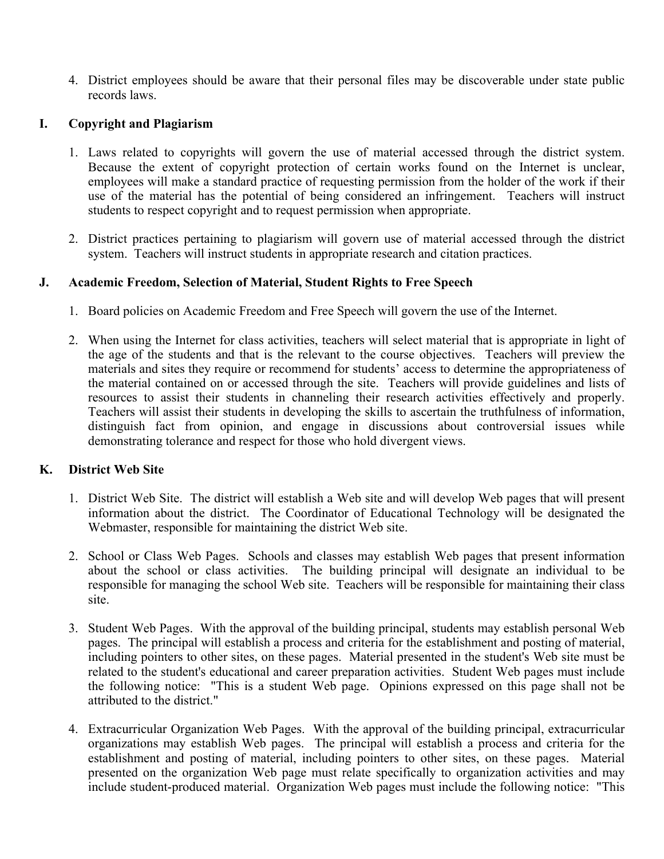4. District employees should be aware that their personal files may be discoverable under state public records laws.

## **I. Copyright and Plagiarism**

- 1. Laws related to copyrights will govern the use of material accessed through the district system. Because the extent of copyright protection of certain works found on the Internet is unclear, employees will make a standard practice of requesting permission from the holder of the work if their use of the material has the potential of being considered an infringement. Teachers will instruct students to respect copyright and to request permission when appropriate.
- 2. District practices pertaining to plagiarism will govern use of material accessed through the district system. Teachers will instruct students in appropriate research and citation practices.

## **J. Academic Freedom, Selection of Material, Student Rights to Free Speech**

- 1. Board policies on Academic Freedom and Free Speech will govern the use of the Internet.
- 2. When using the Internet for class activities, teachers will select material that is appropriate in light of the age of the students and that is the relevant to the course objectives. Teachers will preview the materials and sites they require or recommend for students' access to determine the appropriateness of the material contained on or accessed through the site. Teachers will provide guidelines and lists of resources to assist their students in channeling their research activities effectively and properly. Teachers will assist their students in developing the skills to ascertain the truthfulness of information, distinguish fact from opinion, and engage in discussions about controversial issues while demonstrating tolerance and respect for those who hold divergent views.

## **K. District Web Site**

- 1. District Web Site. The district will establish a Web site and will develop Web pages that will present information about the district. The Coordinator of Educational Technology will be designated the Webmaster, responsible for maintaining the district Web site.
- 2. School or Class Web Pages. Schools and classes may establish Web pages that present information about the school or class activities. The building principal will designate an individual to be responsible for managing the school Web site. Teachers will be responsible for maintaining their class site.
- 3. Student Web Pages. With the approval of the building principal, students may establish personal Web pages. The principal will establish a process and criteria for the establishment and posting of material, including pointers to other sites, on these pages. Material presented in the student's Web site must be related to the student's educational and career preparation activities. Student Web pages must include the following notice: "This is a student Web page. Opinions expressed on this page shall not be attributed to the district."
- 4. Extracurricular Organization Web Pages. With the approval of the building principal, extracurricular organizations may establish Web pages. The principal will establish a process and criteria for the establishment and posting of material, including pointers to other sites, on these pages. Material presented on the organization Web page must relate specifically to organization activities and may include student-produced material. Organization Web pages must include the following notice: "This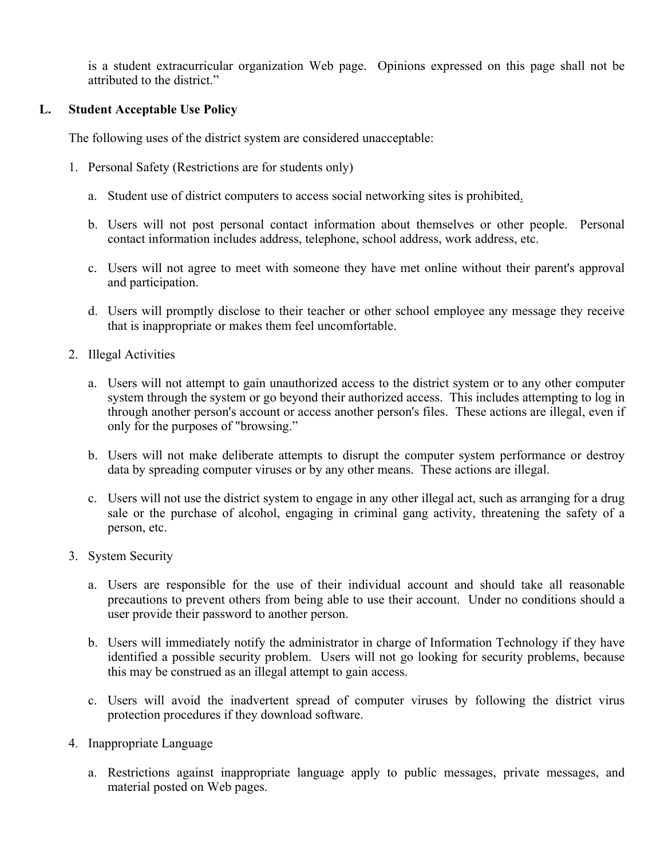is a student extracurricular organization Web page. Opinions expressed on this page shall not be attributed to the district."

### **L. Student Acceptable Use Policy**

The following uses of the district system are considered unacceptable:

- 1. Personal Safety (Restrictions are for students only)
	- a. Student use of district computers to access social networking sites is prohibited.
	- b. Users will not post personal contact information about themselves or other people. Personal contact information includes address, telephone, school address, work address, etc.
	- c. Users will not agree to meet with someone they have met online without their parent's approval and participation.
	- d. Users will promptly disclose to their teacher or other school employee any message they receive that is inappropriate or makes them feel uncomfortable.
- 2. Illegal Activities
	- a. Users will not attempt to gain unauthorized access to the district system or to any other computer system through the system or go beyond their authorized access. This includes attempting to log in through another person's account or access another person's files. These actions are illegal, even if only for the purposes of "browsing."
	- b. Users will not make deliberate attempts to disrupt the computer system performance or destroy data by spreading computer viruses or by any other means. These actions are illegal.
	- c. Users will not use the district system to engage in any other illegal act, such as arranging for a drug sale or the purchase of alcohol, engaging in criminal gang activity, threatening the safety of a person, etc.
- 3. System Security
	- a. Users are responsible for the use of their individual account and should take all reasonable precautions to prevent others from being able to use their account. Under no conditions should a user provide their password to another person.
	- b. Users will immediately notify the administrator in charge of Information Technology if they have identified a possible security problem. Users will not go looking for security problems, because this may be construed as an illegal attempt to gain access.
	- c. Users will avoid the inadvertent spread of computer viruses by following the district virus protection procedures if they download software.
- 4. Inappropriate Language
	- a. Restrictions against inappropriate language apply to public messages, private messages, and material posted on Web pages.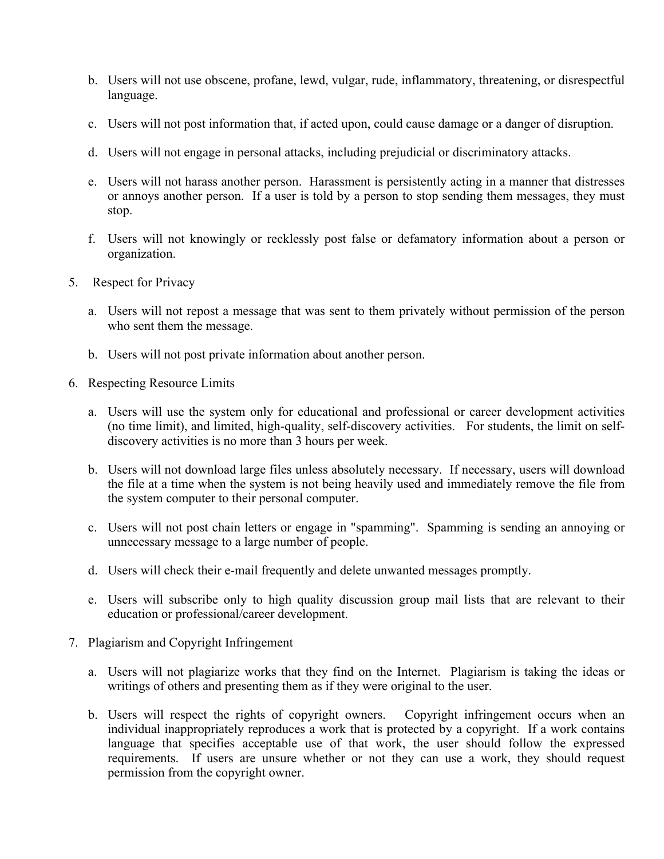- b. Users will not use obscene, profane, lewd, vulgar, rude, inflammatory, threatening, or disrespectful language.
- c. Users will not post information that, if acted upon, could cause damage or a danger of disruption.
- d. Users will not engage in personal attacks, including prejudicial or discriminatory attacks.
- e. Users will not harass another person. Harassment is persistently acting in a manner that distresses or annoys another person. If a user is told by a person to stop sending them messages, they must stop.
- f. Users will not knowingly or recklessly post false or defamatory information about a person or organization.
- 5. Respect for Privacy
	- a. Users will not repost a message that was sent to them privately without permission of the person who sent them the message.
	- b. Users will not post private information about another person.
- 6. Respecting Resource Limits
	- a. Users will use the system only for educational and professional or career development activities (no time limit), and limited, high-quality, self-discovery activities. For students, the limit on selfdiscovery activities is no more than 3 hours per week.
	- b. Users will not download large files unless absolutely necessary. If necessary, users will download the file at a time when the system is not being heavily used and immediately remove the file from the system computer to their personal computer.
	- c. Users will not post chain letters or engage in "spamming". Spamming is sending an annoying or unnecessary message to a large number of people.
	- d. Users will check their e-mail frequently and delete unwanted messages promptly.
	- e. Users will subscribe only to high quality discussion group mail lists that are relevant to their education or professional/career development.
- 7. Plagiarism and Copyright Infringement
	- a. Users will not plagiarize works that they find on the Internet. Plagiarism is taking the ideas or writings of others and presenting them as if they were original to the user.
	- b. Users will respect the rights of copyright owners. Copyright infringement occurs when an individual inappropriately reproduces a work that is protected by a copyright. If a work contains language that specifies acceptable use of that work, the user should follow the expressed requirements. If users are unsure whether or not they can use a work, they should request permission from the copyright owner.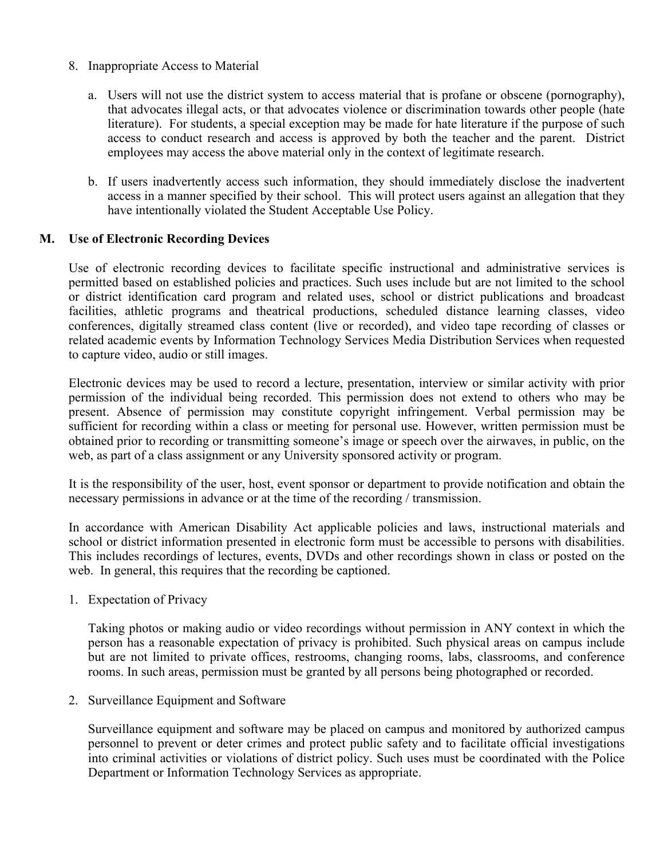- 8. Inappropriate Access to Material
	- a. Users will not use the district system to access material that is profane or obscene (pornography), that advocates illegal acts, or that advocates violence or discrimination towards other people (hate literature). For students, a special exception may be made for hate literature if the purpose of such access to conduct research and access is approved by both the teacher and the parent. District employees may access the above material only in the context of legitimate research.
	- b. If users inadvertently access such information, they should immediately disclose the inadvertent access in a manner specified by their school. This will protect users against an allegation that they have intentionally violated the Student Acceptable Use Policy.

#### **M. Use of Electronic Recording Devices**

Use of electronic recording devices to facilitate specific instructional and administrative services is permitted based on established policies and practices. Such uses include but are not limited to the school or district identification card program and related uses, school or district publications and broadcast facilities, athletic programs and theatrical productions, scheduled distance learning classes, video conferences, digitally streamed class content (live or recorded), and video tape recording of classes or related academic events by Information Technology Services Media Distribution Services when requested to capture video, audio or still images.

Electronic devices may be used to record a lecture, presentation, interview or similar activity with prior permission of the individual being recorded. This permission does not extend to others who may be present. Absence of permission may constitute copyright infringement. Verbal permission may be sufficient for recording within a class or meeting for personal use. However, written permission must be obtained prior to recording or transmitting someone's image or speech over the airwaves, in public, on the web, as part of a class assignment or any University sponsored activity or program.

It is the responsibility of the user, host, event sponsor or department to provide notification and obtain the necessary permissions in advance or at the time of the recording / transmission.

In accordance with American Disability Act applicable policies and laws, instructional materials and school or district information presented in electronic form must be accessible to persons with disabilities. This includes recordings of lectures, events, DVDs and other recordings shown in class or posted on the web. In general, this requires that the recording be captioned.

1. Expectation of Privacy

Taking photos or making audio or video recordings without permission in ANY context in which the person has a reasonable expectation of privacy is prohibited. Such physical areas on campus include but are not limited to private offices, restrooms, changing rooms, labs, classrooms, and conference rooms. In such areas, permission must be granted by all persons being photographed or recorded.

#### 2. Surveillance Equipment and Software

Surveillance equipment and software may be placed on campus and monitored by authorized campus personnel to prevent or deter crimes and protect public safety and to facilitate official investigations into criminal activities or violations of district policy. Such uses must be coordinated with the Police Department or Information Technology Services as appropriate.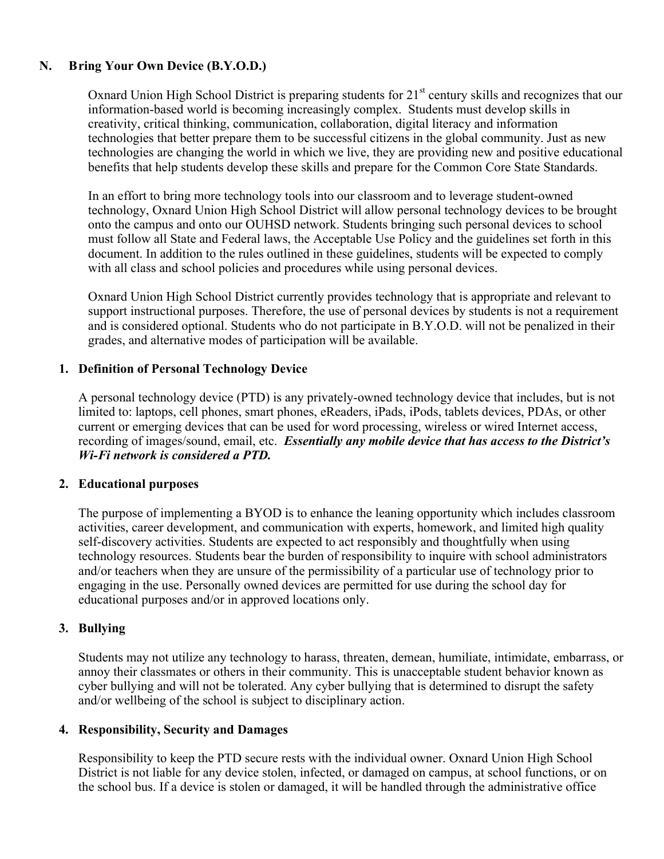# **N. Bring Your Own Device (B.Y.O.D.)**

Oxnard Union High School District is preparing students for 21<sup>st</sup> century skills and recognizes that our information-based world is becoming increasingly complex. Students must develop skills in creativity, critical thinking, communication, collaboration, digital literacy and information technologies that better prepare them to be successful citizens in the global community. Just as new technologies are changing the world in which we live, they are providing new and positive educational benefits that help students develop these skills and prepare for the Common Core State Standards.

In an effort to bring more technology tools into our classroom and to leverage student-owned technology, Oxnard Union High School District will allow personal technology devices to be brought onto the campus and onto our OUHSD network. Students bringing such personal devices to school must follow all State and Federal laws, the Acceptable Use Policy and the guidelines set forth in this document. In addition to the rules outlined in these guidelines, students will be expected to comply with all class and school policies and procedures while using personal devices.

Oxnard Union High School District currently provides technology that is appropriate and relevant to support instructional purposes. Therefore, the use of personal devices by students is not a requirement and is considered optional. Students who do not participate in B.Y.O.D. will not be penalized in their grades, and alternative modes of participation will be available.

#### **1. Definition of Personal Technology Device**

A personal technology device (PTD) is any privately-owned technology device that includes, but is not limited to: laptops, cell phones, smart phones, eReaders, iPads, iPods, tablets devices, PDAs, or other current or emerging devices that can be used for word processing, wireless or wired Internet access, recording of images/sound, email, etc. *Essentially any mobile device that has access to the District's Wi-Fi network is considered a PTD.*

#### **2. Educational purposes**

The purpose of implementing a BYOD is to enhance the leaning opportunity which includes classroom activities, career development, and communication with experts, homework, and limited high quality self-discovery activities. Students are expected to act responsibly and thoughtfully when using technology resources. Students bear the burden of responsibility to inquire with school administrators and/or teachers when they are unsure of the permissibility of a particular use of technology prior to engaging in the use. Personally owned devices are permitted for use during the school day for educational purposes and/or in approved locations only.

## **3. Bullying**

Students may not utilize any technology to harass, threaten, demean, humiliate, intimidate, embarrass, or annoy their classmates or others in their community. This is unacceptable student behavior known as cyber bullying and will not be tolerated. Any cyber bullying that is determined to disrupt the safety and/or wellbeing of the school is subject to disciplinary action.

#### **4. Responsibility, Security and Damages**

Responsibility to keep the PTD secure rests with the individual owner. Oxnard Union High School District is not liable for any device stolen, infected, or damaged on campus, at school functions, or on the school bus. If a device is stolen or damaged, it will be handled through the administrative office